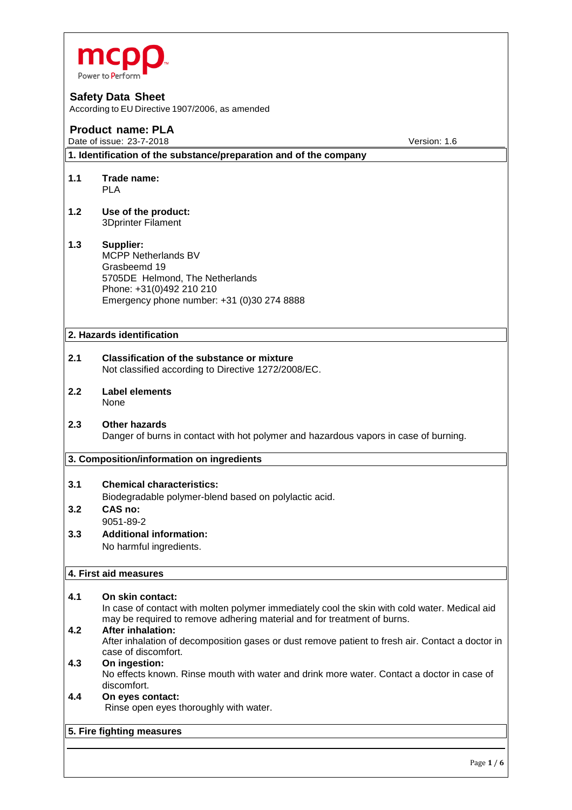

According to EU Directive 1907/2006, as amended

# **Product name: PLA**

Date of issue: 23-7-2018 **Date of issue: 23-7-2018** Version: 1.6

**1. Identification of the substance/preparation and of the company**

- **1.1 Trade name:** PLA
- **1.2 Use of the product:** 3Dprinter Filament

#### **1.3 Supplier:** MCPP Netherlands BV Grasbeemd 19 5705DE Helmond, The Netherlands Phone: +31(0)492 210 210 Emergency phone number: +31 (0)30 274 8888

# **2. Hazards identification**

- **2.1 Classification of the substance or mixture** Not classified according to Directive 1272/2008/EC.
- **2.2 Label elements** None
- **2.3 Other hazards** Danger of burns in contact with hot polymer and hazardous vapors in case of burning.

#### **3. Composition/information on ingredients**

# **3.1 Chemical characteristics:**

Biodegradable polymer-blend based on polylactic acid.

- **3.2 CAS no:**  9051-89-2
- **3.3 Additional information:**  No harmful ingredients.

# **4. First aid measures**

**4.1 On skin contact:**  In case of contact with molten polymer immediately cool the skin with cold water. Medical aid may be required to remove adhering material and for treatment of burns. **4.2 After inhalation:**  After inhalation of decomposition gases or dust remove patient to fresh air. Contact a doctor in case of discomfort.

# **4.3 On ingestion:**

No effects known. Rinse mouth with water and drink more water. Contact a doctor in case of discomfort.

#### **4.4 On eyes contact:** Rinse open eyes thoroughly with water.

#### **5. Fire fighting measures**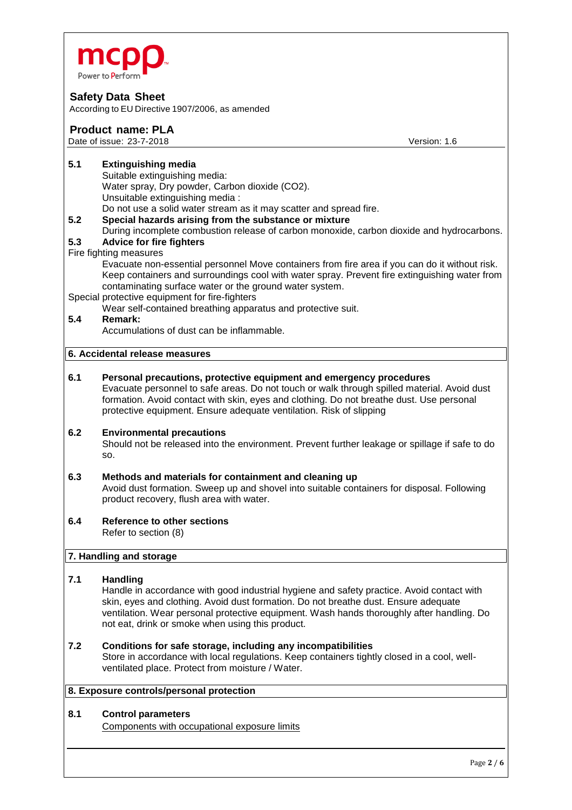

According to EU Directive 1907/2006, as amended

# **Product name: PLA**

Date of issue: 23-7-2018 **Date of issue: 23-7-2018** Version: 1.6

### **5.1 Extinguishing media**

- Suitable extinguishing media: Water spray, Dry powder, Carbon dioxide (CO2). Unsuitable extinguishing media : Do not use a solid water stream as it may scatter and spread fire. **5.2 Special hazards arising from the substance or mixture**
- During incomplete combustion release of carbon monoxide, carbon dioxide and hydrocarbons.

### **5.3 Advice for fire fighters**

#### Fire fighting measures

Evacuate non-essential personnel Move containers from fire area if you can do it without risk. Keep containers and surroundings cool with water spray. Prevent fire extinguishing water from contaminating surface water or the ground water system.

#### Special protective equipment for fire-fighters

Wear self-contained breathing apparatus and protective suit.

# **5.4 Remark:**

Accumulations of dust can be inflammable.

# **6. Accidental release measures**

**6.1 Personal precautions, protective equipment and emergency procedures** Evacuate personnel to safe areas. Do not touch or walk through spilled material. Avoid dust formation. Avoid contact with skin, eyes and clothing. Do not breathe dust. Use personal protective equipment. Ensure adequate ventilation. Risk of slipping

#### **6.2 Environmental precautions**

Should not be released into the environment. Prevent further leakage or spillage if safe to do so.

# **6.3 Methods and materials for containment and cleaning up**

Avoid dust formation. Sweep up and shovel into suitable containers for disposal. Following product recovery, flush area with water.

#### **6.4 Reference to other sections** Refer to section (8)

#### **7. Handling and storage**

#### **7.1 Handling**

Handle in accordance with good industrial hygiene and safety practice. Avoid contact with skin, eyes and clothing. Avoid dust formation. Do not breathe dust. Ensure adequate ventilation. Wear personal protective equipment. Wash hands thoroughly after handling. Do not eat, drink or smoke when using this product.

#### **7.2 Conditions for safe storage, including any incompatibilities**

Store in accordance with local regulations. Keep containers tightly closed in a cool, wellventilated place. Protect from moisture / Water.

#### **8. Exposure controls/personal protection**

#### **8.1 Control parameters**

Components with occupational exposure limits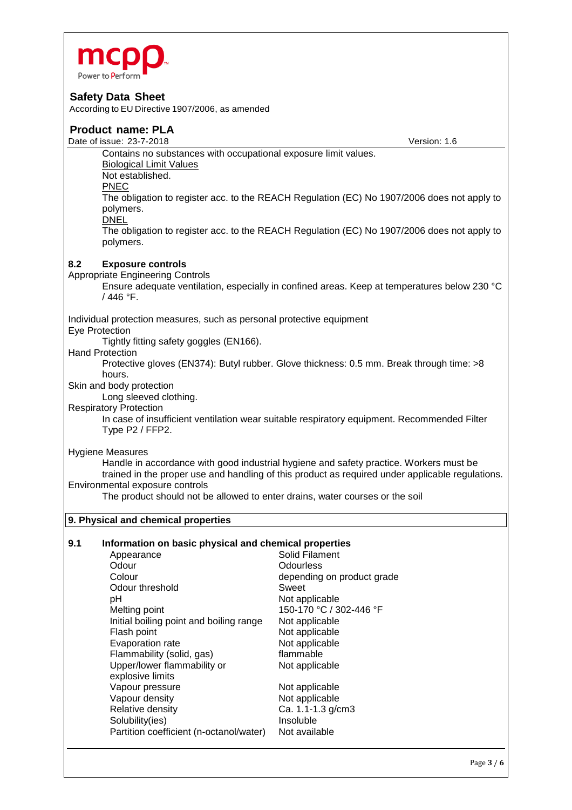

According to EU Directive 1907/2006, as amended

# **Product name: PLA**

Date of issue: 23-7-2018 **Date of issue: 23-7-2018** Version: 1.6 Contains no substances with occupational exposure limit values. Biological Limit Values Not established. PNEC The obligation to register acc. to the REACH Regulation (EC) No 1907/2006 does not apply to polymers. DNEL The obligation to register acc. to the REACH Regulation (EC) No 1907/2006 does not apply to polymers. **8.2 Exposure controls**  Appropriate Engineering Controls Ensure adequate ventilation, especially in confined areas. Keep at temperatures below 230 °C / 446 °F. Individual protection measures, such as personal protective equipment Eye Protection Tightly fitting safety goggles (EN166). Hand Protection Protective gloves (EN374): Butyl rubber. Glove thickness: 0.5 mm. Break through time: >8 hours. Skin and body protection Long sleeved clothing. Respiratory Protection In case of insufficient ventilation wear suitable respiratory equipment. Recommended Filter Type P2 / FFP2. Hygiene Measures Handle in accordance with good industrial hygiene and safety practice. Workers must be trained in the proper use and handling of this product as required under applicable regulations. Environmental exposure controls The product should not be allowed to enter drains, water courses or the soil **9. Physical and chemical properties 9.1 Information on basic physical and chemical properties**

| Appearance                              | Solid Filament             |
|-----------------------------------------|----------------------------|
| Odour                                   | Odourless                  |
| Colour                                  | depending on product grade |
| Odour threshold                         | Sweet                      |
| рH                                      | Not applicable             |
| Melting point                           | 150-170 °C / 302-446 °F    |
| Initial boiling point and boiling range | Not applicable             |
| Flash point                             | Not applicable             |
| Evaporation rate                        | Not applicable             |
| Flammability (solid, gas)               | flammable                  |
| Upper/lower flammability or             | Not applicable             |
| explosive limits                        |                            |
| Vapour pressure                         | Not applicable             |
| Vapour density                          | Not applicable             |
| Relative density                        | Ca. 1.1-1.3 g/cm3          |
| Solubility(ies)                         | Insoluble                  |
| Partition coefficient (n-octanol/water) | Not available              |
|                                         |                            |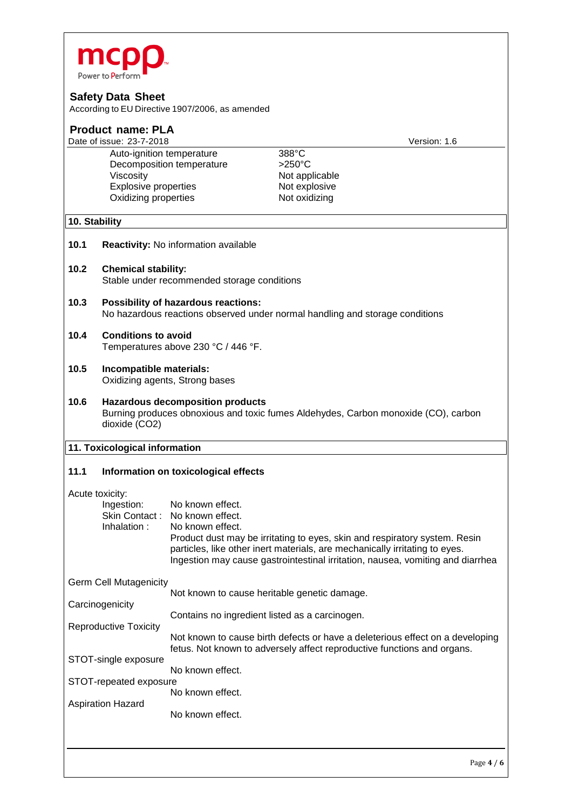

According to EU Directive 1907/2006, as amended

| <b>Product name: PLA</b>                       |                                                                                                                                                |                                      |                                                                                                                                                                                                                                             |
|------------------------------------------------|------------------------------------------------------------------------------------------------------------------------------------------------|--------------------------------------|---------------------------------------------------------------------------------------------------------------------------------------------------------------------------------------------------------------------------------------------|
| Date of issue: 23-7-2018<br>Version: 1.6       |                                                                                                                                                |                                      |                                                                                                                                                                                                                                             |
|                                                | Auto-ignition temperature                                                                                                                      |                                      | 388°C                                                                                                                                                                                                                                       |
|                                                |                                                                                                                                                | Decomposition temperature            | $>250^{\circ}$ C                                                                                                                                                                                                                            |
|                                                | Viscosity                                                                                                                                      |                                      | Not applicable                                                                                                                                                                                                                              |
|                                                | <b>Explosive properties</b>                                                                                                                    |                                      | Not explosive                                                                                                                                                                                                                               |
|                                                | Oxidizing properties                                                                                                                           |                                      | Not oxidizing                                                                                                                                                                                                                               |
| 10. Stability                                  |                                                                                                                                                |                                      |                                                                                                                                                                                                                                             |
| 10.1                                           |                                                                                                                                                | Reactivity: No information available |                                                                                                                                                                                                                                             |
| 10.2                                           | <b>Chemical stability:</b><br>Stable under recommended storage conditions                                                                      |                                      |                                                                                                                                                                                                                                             |
| 10.3                                           | <b>Possibility of hazardous reactions:</b><br>No hazardous reactions observed under normal handling and storage conditions                     |                                      |                                                                                                                                                                                                                                             |
| 10.4                                           | <b>Conditions to avoid</b><br>Temperatures above 230 °C / 446 °F.                                                                              |                                      |                                                                                                                                                                                                                                             |
| 10.5                                           | Incompatible materials:<br>Oxidizing agents, Strong bases                                                                                      |                                      |                                                                                                                                                                                                                                             |
| 10.6                                           | <b>Hazardous decomposition products</b><br>Burning produces obnoxious and toxic fumes Aldehydes, Carbon monoxide (CO), carbon<br>dioxide (CO2) |                                      |                                                                                                                                                                                                                                             |
| 11. Toxicological information                  |                                                                                                                                                |                                      |                                                                                                                                                                                                                                             |
| 11.1                                           | Information on toxicological effects                                                                                                           |                                      |                                                                                                                                                                                                                                             |
| Acute toxicity:                                |                                                                                                                                                |                                      |                                                                                                                                                                                                                                             |
|                                                | Ingestion:                                                                                                                                     | No known effect.                     |                                                                                                                                                                                                                                             |
|                                                | Skin Contact:                                                                                                                                  | No known effect.                     |                                                                                                                                                                                                                                             |
|                                                | Inhalation:                                                                                                                                    | No known effect.                     |                                                                                                                                                                                                                                             |
|                                                |                                                                                                                                                |                                      | Product dust may be irritating to eyes, skin and respiratory system. Resin<br>particles, like other inert materials, are mechanically irritating to eyes.<br>Ingestion may cause gastrointestinal irritation, nausea, vomiting and diarrhea |
| <b>Germ Cell Mutagenicity</b>                  |                                                                                                                                                |                                      |                                                                                                                                                                                                                                             |
| Not known to cause heritable genetic damage.   |                                                                                                                                                |                                      |                                                                                                                                                                                                                                             |
| Carcinogenicity                                |                                                                                                                                                |                                      |                                                                                                                                                                                                                                             |
| Contains no ingredient listed as a carcinogen. |                                                                                                                                                |                                      |                                                                                                                                                                                                                                             |
|                                                | <b>Reproductive Toxicity</b>                                                                                                                   |                                      | Not known to cause birth defects or have a deleterious effect on a developing<br>fetus. Not known to adversely affect reproductive functions and organs.                                                                                    |
|                                                | STOT-single exposure                                                                                                                           |                                      |                                                                                                                                                                                                                                             |
| No known effect.<br>STOT-repeated exposure     |                                                                                                                                                |                                      |                                                                                                                                                                                                                                             |

STOT-repeated expose No known effect. Aspiration Hazard

No known effect.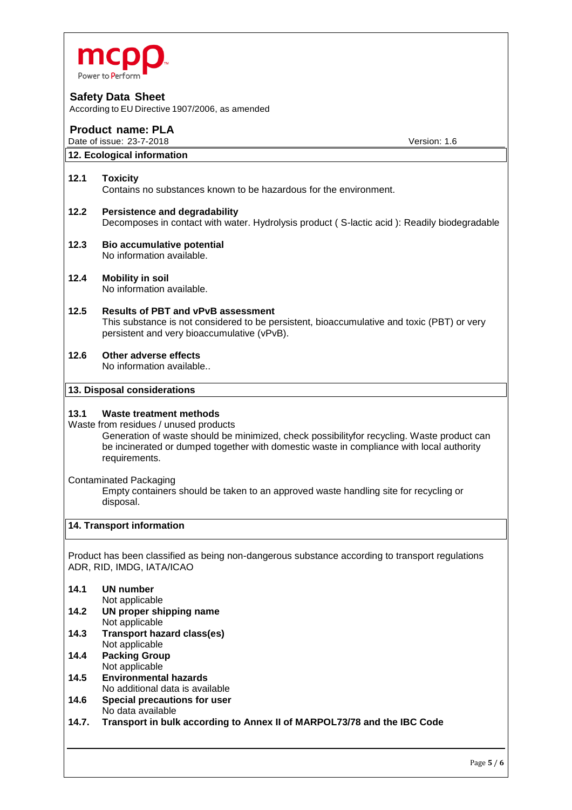

According to EU Directive 1907/2006, as amended

# **Product name: PLA**

Date of issue: 23-7-2018 **Date of issue: 23-7-2018** Version: 1.6

# **12. Ecological information**

#### **12.1 Toxicity**

Contains no substances known to be hazardous for the environment.

- **12.2 Persistence and degradability** Decomposes in contact with water. Hydrolysis product ( S-lactic acid ): Readily biodegradable
- **12.3 Bio accumulative potential** No information available.
- **12.4 Mobility in soil** No information available.
- **12.5 Results of PBT and vPvB assessment** This substance is not considered to be persistent, bioaccumulative and toxic (PBT) or very persistent and very bioaccumulative (vPvB).
- **12.6 Other adverse effects** No information available..

**13. Disposal considerations**

#### **13.1 Waste treatment methods**

Waste from residues / unused products

Generation of waste should be minimized, check possibilityfor recycling. Waste product can be incinerated or dumped together with domestic waste in compliance with local authority requirements.

Contaminated Packaging

Empty containers should be taken to an approved waste handling site for recycling or disposal.

#### **14. Transport information**

Product has been classified as being non-dangerous substance according to transport regulations ADR, RID, IMDG, IATA/ICAO

#### **14.1 UN number**

Not applicable

- **14.2 UN proper shipping name** Not applicable
- **14.3 Transport hazard class(es)** Not applicable
- **14.4 Packing Group** Not applicable
- **14.5 Environmental hazards** No additional data is available
- **14.6 Special precautions for user** No data available
- **14.7. Transport in bulk according to Annex II of MARPOL73/78 and the IBC Code**